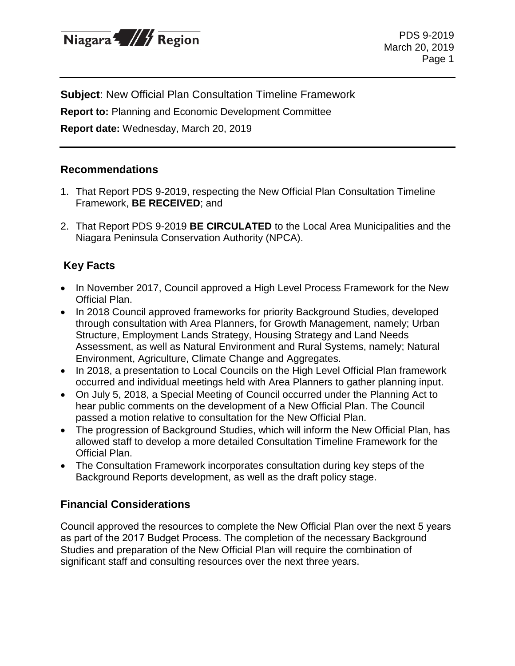

PDS 9-2019 March 20, 2019 Page 1

**Subject**: New Official Plan Consultation Timeline Framework

**Report to:** Planning and Economic Development Committee

**Report date:** Wednesday, March 20, 2019

#### **Recommendations**

- 1. That Report PDS 9-2019, respecting the New Official Plan Consultation Timeline Framework, **BE RECEIVED**; and
- 2. That Report PDS 9-2019 **BE CIRCULATED** to the Local Area Municipalities and the Niagara Peninsula Conservation Authority (NPCA).

## **Key Facts**

- In November 2017, Council approved a High Level Process Framework for the New Official Plan.
- In 2018 Council approved frameworks for priority Background Studies, developed through consultation with Area Planners, for Growth Management, namely; Urban Structure, Employment Lands Strategy, Housing Strategy and Land Needs Assessment, as well as Natural Environment and Rural Systems, namely; Natural Environment, Agriculture, Climate Change and Aggregates.
- In 2018, a presentation to Local Councils on the High Level Official Plan framework occurred and individual meetings held with Area Planners to gather planning input.
- On July 5, 2018, a Special Meeting of Council occurred under the Planning Act to hear public comments on the development of a New Official Plan. The Council passed a motion relative to consultation for the New Official Plan.
- The progression of Background Studies, which will inform the New Official Plan, has allowed staff to develop a more detailed Consultation Timeline Framework for the Official Plan.
- The Consultation Framework incorporates consultation during key steps of the Background Reports development, as well as the draft policy stage.

### **Financial Considerations**

Council approved the resources to complete the New Official Plan over the next 5 years as part of the 2017 Budget Process. The completion of the necessary Background Studies and preparation of the New Official Plan will require the combination of significant staff and consulting resources over the next three years.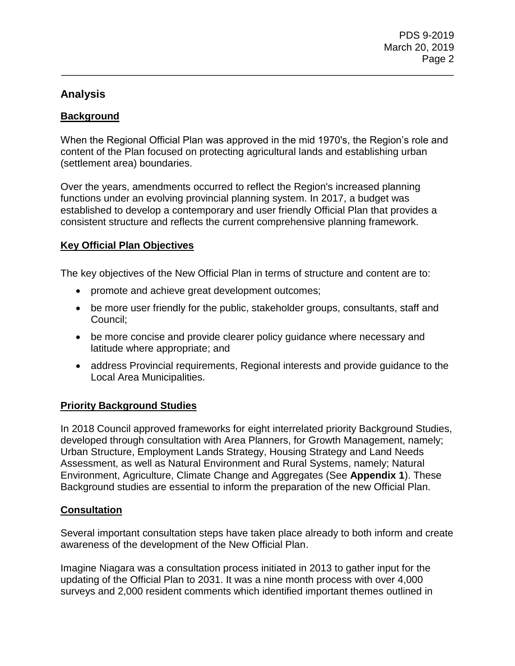## **Analysis**

### **Background**

When the Regional Official Plan was approved in the mid 1970's, the Region's role and content of the Plan focused on protecting agricultural lands and establishing urban (settlement area) boundaries.

\_\_\_\_\_\_\_\_\_\_\_\_\_\_\_\_\_\_\_\_\_\_\_\_\_\_\_\_\_\_\_\_\_\_\_\_\_\_\_\_\_\_\_\_\_\_\_\_\_\_\_\_\_\_\_\_\_\_\_\_\_\_\_\_\_\_\_\_\_\_

Over the years, amendments occurred to reflect the Region's increased planning functions under an evolving provincial planning system. In 2017, a budget was established to develop a contemporary and user friendly Official Plan that provides a consistent structure and reflects the current comprehensive planning framework.

### **Key Official Plan Objectives**

The key objectives of the New Official Plan in terms of structure and content are to:

- promote and achieve great development outcomes;
- be more user friendly for the public, stakeholder groups, consultants, staff and Council;
- be more concise and provide clearer policy guidance where necessary and latitude where appropriate; and
- address Provincial requirements, Regional interests and provide guidance to the Local Area Municipalities.

### **Priority Background Studies**

In 2018 Council approved frameworks for eight interrelated priority Background Studies, developed through consultation with Area Planners, for Growth Management, namely; Urban Structure, Employment Lands Strategy, Housing Strategy and Land Needs Assessment, as well as Natural Environment and Rural Systems, namely; Natural Environment, Agriculture, Climate Change and Aggregates (See **Appendix 1**). These Background studies are essential to inform the preparation of the new Official Plan.

### **Consultation**

Several important consultation steps have taken place already to both inform and create awareness of the development of the New Official Plan.

Imagine Niagara was a consultation process initiated in 2013 to gather input for the updating of the Official Plan to 2031. It was a nine month process with over 4,000 surveys and 2,000 resident comments which identified important themes outlined in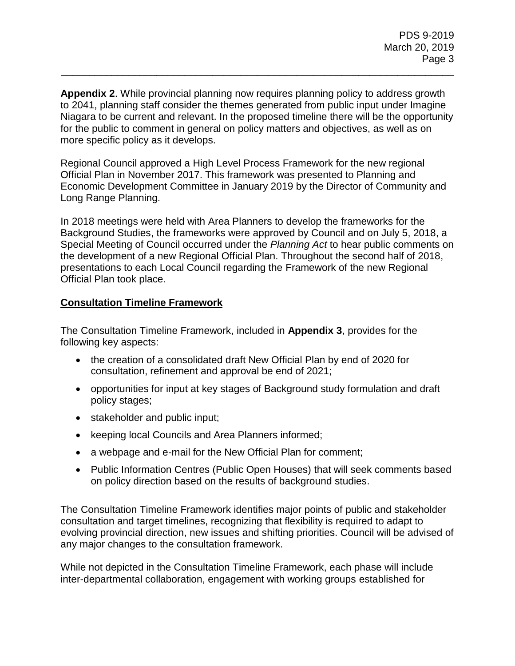**Appendix 2**. While provincial planning now requires planning policy to address growth to 2041, planning staff consider the themes generated from public input under Imagine Niagara to be current and relevant. In the proposed timeline there will be the opportunity for the public to comment in general on policy matters and objectives, as well as on more specific policy as it develops.

\_\_\_\_\_\_\_\_\_\_\_\_\_\_\_\_\_\_\_\_\_\_\_\_\_\_\_\_\_\_\_\_\_\_\_\_\_\_\_\_\_\_\_\_\_\_\_\_\_\_\_\_\_\_\_\_\_\_\_\_\_\_\_\_\_\_\_\_\_\_

Regional Council approved a High Level Process Framework for the new regional Official Plan in November 2017. This framework was presented to Planning and Economic Development Committee in January 2019 by the Director of Community and Long Range Planning.

In 2018 meetings were held with Area Planners to develop the frameworks for the Background Studies, the frameworks were approved by Council and on July 5, 2018, a Special Meeting of Council occurred under the *Planning Act* to hear public comments on the development of a new Regional Official Plan. Throughout the second half of 2018, presentations to each Local Council regarding the Framework of the new Regional Official Plan took place.

### **Consultation Timeline Framework**

The Consultation Timeline Framework, included in **Appendix 3**, provides for the following key aspects:

- the creation of a consolidated draft New Official Plan by end of 2020 for consultation, refinement and approval be end of 2021;
- opportunities for input at key stages of Background study formulation and draft policy stages;
- stakeholder and public input;
- keeping local Councils and Area Planners informed;
- a webpage and e-mail for the New Official Plan for comment;
- Public Information Centres (Public Open Houses) that will seek comments based on policy direction based on the results of background studies.

The Consultation Timeline Framework identifies major points of public and stakeholder consultation and target timelines, recognizing that flexibility is required to adapt to evolving provincial direction, new issues and shifting priorities. Council will be advised of any major changes to the consultation framework.

While not depicted in the Consultation Timeline Framework, each phase will include inter-departmental collaboration, engagement with working groups established for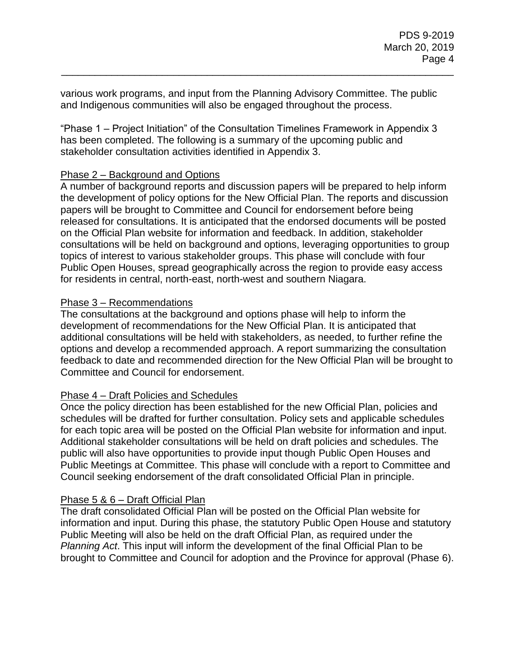various work programs, and input from the Planning Advisory Committee. The public and Indigenous communities will also be engaged throughout the process.

\_\_\_\_\_\_\_\_\_\_\_\_\_\_\_\_\_\_\_\_\_\_\_\_\_\_\_\_\_\_\_\_\_\_\_\_\_\_\_\_\_\_\_\_\_\_\_\_\_\_\_\_\_\_\_\_\_\_\_\_\_\_\_\_\_\_\_\_\_\_

"Phase 1 – Project Initiation" of the Consultation Timelines Framework in Appendix 3 has been completed. The following is a summary of the upcoming public and stakeholder consultation activities identified in Appendix 3.

#### Phase 2 – Background and Options

A number of background reports and discussion papers will be prepared to help inform the development of policy options for the New Official Plan. The reports and discussion papers will be brought to Committee and Council for endorsement before being released for consultations. It is anticipated that the endorsed documents will be posted on the Official Plan website for information and feedback. In addition, stakeholder consultations will be held on background and options, leveraging opportunities to group topics of interest to various stakeholder groups. This phase will conclude with four Public Open Houses, spread geographically across the region to provide easy access for residents in central, north-east, north-west and southern Niagara.

### Phase 3 – Recommendations

The consultations at the background and options phase will help to inform the development of recommendations for the New Official Plan. It is anticipated that additional consultations will be held with stakeholders, as needed, to further refine the options and develop a recommended approach. A report summarizing the consultation feedback to date and recommended direction for the New Official Plan will be brought to Committee and Council for endorsement.

### Phase 4 – Draft Policies and Schedules

Once the policy direction has been established for the new Official Plan, policies and schedules will be drafted for further consultation. Policy sets and applicable schedules for each topic area will be posted on the Official Plan website for information and input. Additional stakeholder consultations will be held on draft policies and schedules. The public will also have opportunities to provide input though Public Open Houses and Public Meetings at Committee. This phase will conclude with a report to Committee and Council seeking endorsement of the draft consolidated Official Plan in principle.

#### Phase 5 & 6 – Draft Official Plan

The draft consolidated Official Plan will be posted on the Official Plan website for information and input. During this phase, the statutory Public Open House and statutory Public Meeting will also be held on the draft Official Plan, as required under the *Planning Act*. This input will inform the development of the final Official Plan to be brought to Committee and Council for adoption and the Province for approval (Phase 6).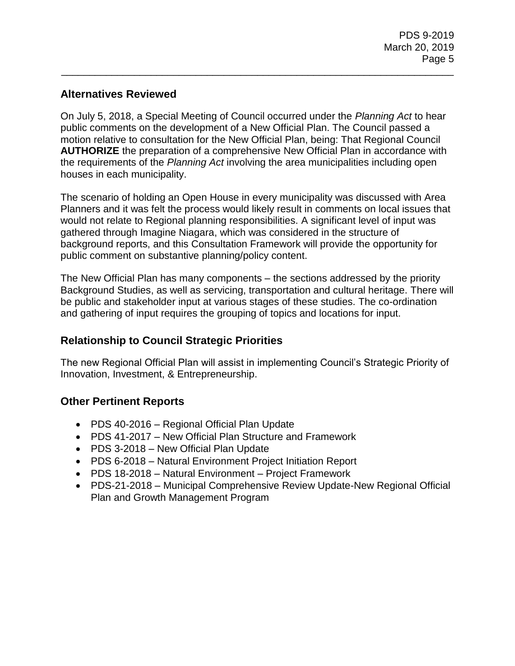# **Alternatives Reviewed**

On July 5, 2018, a Special Meeting of Council occurred under the *Planning Act* to hear public comments on the development of a New Official Plan. The Council passed a motion relative to consultation for the New Official Plan, being: That Regional Council **AUTHORIZE** the preparation of a comprehensive New Official Plan in accordance with the requirements of the *Planning Act* involving the area municipalities including open houses in each municipality.

\_\_\_\_\_\_\_\_\_\_\_\_\_\_\_\_\_\_\_\_\_\_\_\_\_\_\_\_\_\_\_\_\_\_\_\_\_\_\_\_\_\_\_\_\_\_\_\_\_\_\_\_\_\_\_\_\_\_\_\_\_\_\_\_\_\_\_\_\_\_

The scenario of holding an Open House in every municipality was discussed with Area Planners and it was felt the process would likely result in comments on local issues that would not relate to Regional planning responsibilities. A significant level of input was gathered through Imagine Niagara, which was considered in the structure of background reports, and this Consultation Framework will provide the opportunity for public comment on substantive planning/policy content.

The New Official Plan has many components – the sections addressed by the priority Background Studies, as well as servicing, transportation and cultural heritage. There will be public and stakeholder input at various stages of these studies. The co-ordination and gathering of input requires the grouping of topics and locations for input.

## **Relationship to Council Strategic Priorities**

The new Regional Official Plan will assist in implementing Council's Strategic Priority of Innovation, Investment, & Entrepreneurship.

## **Other Pertinent Reports**

- PDS 40-2016 Regional Official Plan Update
- PDS 41-2017 New Official Plan Structure and Framework
- PDS 3-2018 New Official Plan Update
- PDS 6-2018 Natural Environment Project Initiation Report
- PDS 18-2018 Natural Environment Project Framework
- PDS-21-2018 Municipal Comprehensive Review Update-New Regional Official Plan and Growth Management Program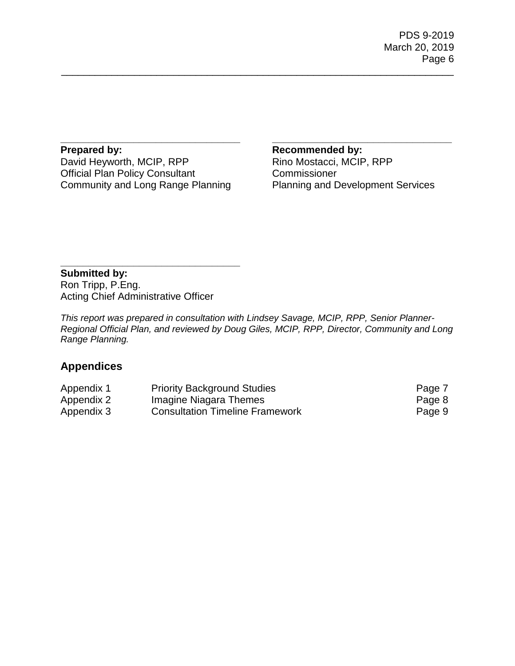PDS 9-2019 March 20, 2019 Page 6

**Prepared by:** David Heyworth, MCIP, RPP Official Plan Policy Consultant Community and Long Range Planning

**\_\_\_\_\_\_\_\_\_\_\_\_\_\_\_\_\_\_\_\_\_\_\_\_\_\_\_\_\_\_\_\_**

**Recommended by:** Rino Mostacci, MCIP, RPP Commissioner Planning and Development Services

**\_\_\_\_\_\_\_\_\_\_\_\_\_\_\_\_\_\_\_\_\_\_\_\_\_\_\_\_\_\_\_\_**

**Submitted by:** Ron Tripp, P.Eng. Acting Chief Administrative Officer

**\_\_\_\_\_\_\_\_\_\_\_\_\_\_\_\_\_\_\_\_\_\_\_\_\_\_\_\_\_\_\_\_**

*This report was prepared in consultation with Lindsey Savage, MCIP, RPP, Senior Planner-Regional Official Plan, and reviewed by Doug Giles, MCIP, RPP, Director, Community and Long Range Planning.*

\_\_\_\_\_\_\_\_\_\_\_\_\_\_\_\_\_\_\_\_\_\_\_\_\_\_\_\_\_\_\_\_\_\_\_\_\_\_\_\_\_\_\_\_\_\_\_\_\_\_\_\_\_\_\_\_\_\_\_\_\_\_\_\_\_\_\_\_\_\_

# **Appendices**

| Appendix 1 | <b>Priority Background Studies</b>     | Page 7 |
|------------|----------------------------------------|--------|
| Appendix 2 | Imagine Niagara Themes                 | Page 8 |
| Appendix 3 | <b>Consultation Timeline Framework</b> | Page 9 |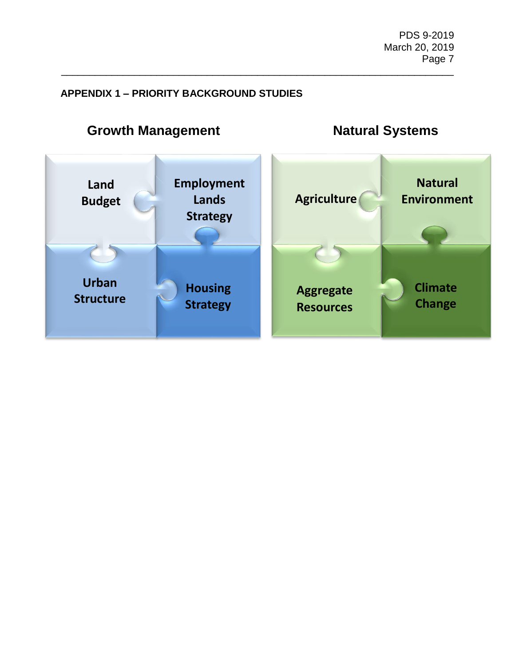## **APPENDIX 1 – PRIORITY BACKGROUND STUDIES**



\_\_\_\_\_\_\_\_\_\_\_\_\_\_\_\_\_\_\_\_\_\_\_\_\_\_\_\_\_\_\_\_\_\_\_\_\_\_\_\_\_\_\_\_\_\_\_\_\_\_\_\_\_\_\_\_\_\_\_\_\_\_\_\_\_\_\_\_\_\_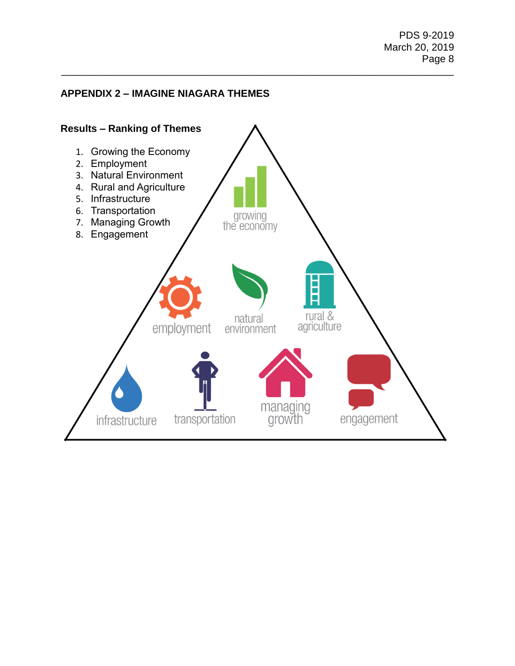### **APPENDIX 2 – IMAGINE NIAGARA THEMES**



\_\_\_\_\_\_\_\_\_\_\_\_\_\_\_\_\_\_\_\_\_\_\_\_\_\_\_\_\_\_\_\_\_\_\_\_\_\_\_\_\_\_\_\_\_\_\_\_\_\_\_\_\_\_\_\_\_\_\_\_\_\_\_\_\_\_\_\_\_\_